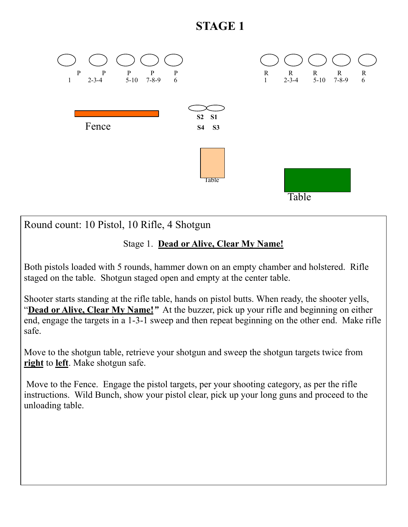# **STAGE 1**



Round count: 10 Pistol, 10 Rifle, 4 Shotgun

### Stage 1. **Dead or Alive, Clear My Name!**

Both pistols loaded with 5 rounds, hammer down on an empty chamber and holstered. Rifle staged on the table. Shotgun staged open and empty at the center table.

Shooter starts standing at the rifle table, hands on pistol butts. When ready, the shooter yells, "**Dead or Alive, Clear My Name!***"* At the buzzer, pick up your rifle and beginning on either end, engage the targets in a 1-3-1 sweep and then repeat beginning on the other end. Make rifle safe.

Move to the shotgun table, retrieve your shotgun and sweep the shotgun targets twice from **right** to **left**. Make shotgun safe.

 Move to the Fence. Engage the pistol targets, per your shooting category, as per the rifle instructions. Wild Bunch, show your pistol clear, pick up your long guns and proceed to the unloading table.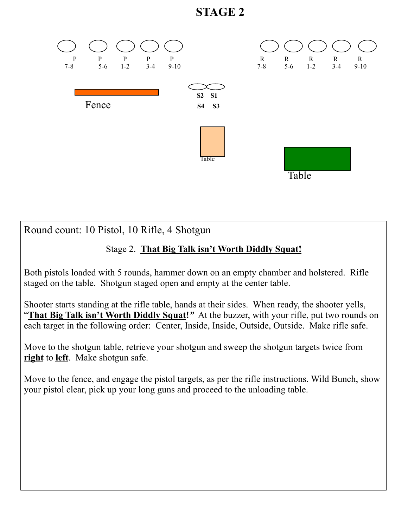## **STAGE 2**



Round count: 10 Pistol, 10 Rifle, 4 Shotgun

### Stage 2. **That Big Talk isn't Worth Diddly Squat!**

Both pistols loaded with 5 rounds, hammer down on an empty chamber and holstered. Rifle staged on the table. Shotgun staged open and empty at the center table.

Shooter starts standing at the rifle table, hands at their sides. When ready, the shooter yells, "**That Big Talk isn't Worth Diddly Squat!***"* At the buzzer, with your rifle, put two rounds on each target in the following order: Center, Inside, Inside, Outside, Outside. Make rifle safe.

Move to the shotgun table, retrieve your shotgun and sweep the shotgun targets twice from **right** to **left**. Make shotgun safe.

Move to the fence, and engage the pistol targets, as per the rifle instructions. Wild Bunch, show your pistol clear, pick up your long guns and proceed to the unloading table.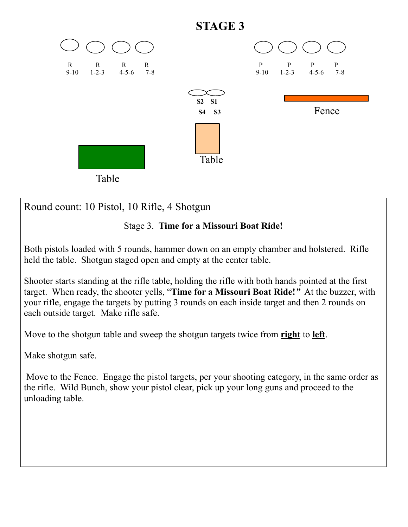

Round count: 10 Pistol, 10 Rifle, 4 Shotgun

### Stage 3. **Time for a Missouri Boat Ride!**

Both pistols loaded with 5 rounds, hammer down on an empty chamber and holstered. Rifle held the table. Shotgun staged open and empty at the center table.

Shooter starts standing at the rifle table, holding the rifle with both hands pointed at the first target. When ready, the shooter yells, "**Time for a Missouri Boat Ride!***"* At the buzzer, with your rifle, engage the targets by putting 3 rounds on each inside target and then 2 rounds on each outside target. Make rifle safe.

Move to the shotgun table and sweep the shotgun targets twice from **right** to **left**.

Make shotgun safe.

 Move to the Fence. Engage the pistol targets, per your shooting category, in the same order as the rifle. Wild Bunch, show your pistol clear, pick up your long guns and proceed to the unloading table.